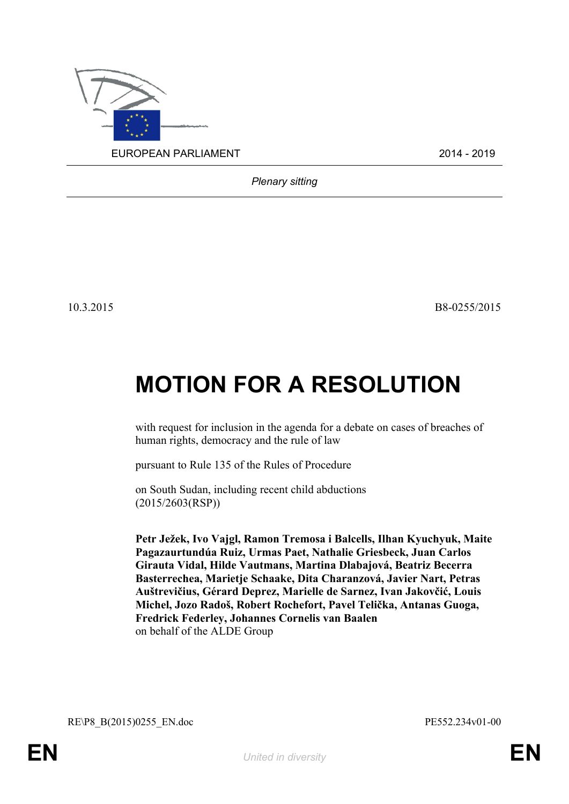

*Plenary sitting*

10.3.2015 B8-0255/2015

## **MOTION FOR A RESOLUTION**

with request for inclusion in the agenda for a debate on cases of breaches of human rights, democracy and the rule of law

pursuant to Rule 135 of the Rules of Procedure

on South Sudan, including recent child abductions (2015/2603(RSP))

**Petr Ježek, Ivo Vajgl, Ramon Tremosa i Balcells, Ilhan Kyuchyuk, Maite Pagazaurtundúa Ruiz, Urmas Paet, Nathalie Griesbeck, Juan Carlos Girauta Vidal, Hilde Vautmans, Martina Dlabajová, Beatriz Becerra Basterrechea, Marietje Schaake, Dita Charanzová, Javier Nart, Petras Auštrevičius, Gérard Deprez, Marielle de Sarnez, Ivan Jakovčić, Louis Michel, Jozo Radoš, Robert Rochefort, Pavel Telička, Antanas Guoga, Fredrick Federley, Johannes Cornelis van Baalen** on behalf of the ALDE Group

<span id="page-0-1"></span>RE\P8\_B(2015)0255\_EN.doc PE552.234v01-00

<span id="page-0-0"></span>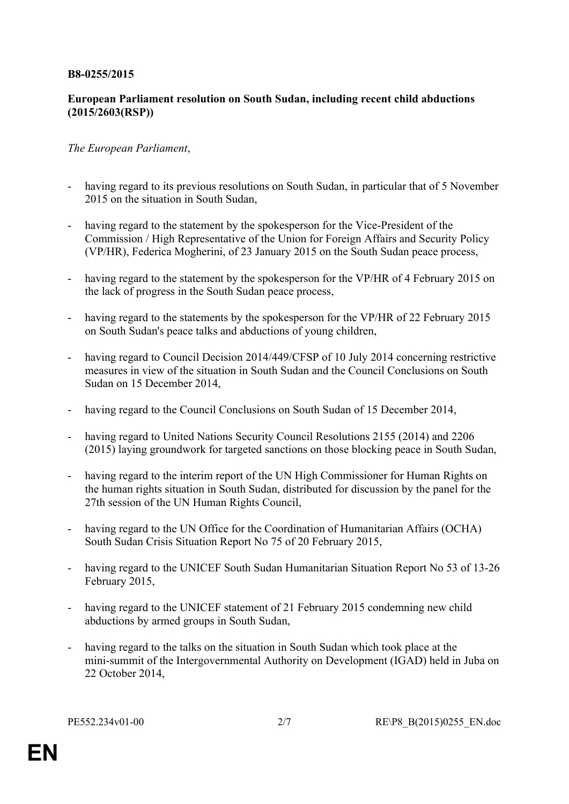## **B8-0255/2015**

## **European Parliament resolution on South Sudan, including recent child abductions (2015/2603(RSP))**

## *The European Parliament*,

- having regard to its previous resolutions on South Sudan, in particular that of 5 November 2015 on the situation in South Sudan
- having regard to the statement by the spokesperson for the Vice-President of the Commission / High Representative of the Union for Foreign Affairs and Security Policy (VP/HR), Federica Mogherini, of 23 January 2015 on the South Sudan peace process,
- having regard to the statement by the spokesperson for the VP/HR of 4 February 2015 on the lack of progress in the South Sudan peace process,
- having regard to the statements by the spokesperson for the VP/HR of 22 February 2015 on South Sudan's peace talks and abductions of young children,
- having regard to Council Decision 2014/449/CFSP of 10 July 2014 concerning restrictive measures in view of the situation in South Sudan and the Council Conclusions on South Sudan on 15 December 2014,
- having regard to the Council Conclusions on South Sudan of 15 December 2014,
- having regard to United Nations Security Council Resolutions 2155 (2014) and 2206 (2015) laying groundwork for targeted sanctions on those blocking peace in South Sudan,
- having regard to the interim report of the UN High Commissioner for Human Rights on the human rights situation in South Sudan, distributed for discussion by the panel for the 27th session of the UN Human Rights Council,
- having regard to the UN Office for the Coordination of Humanitarian Affairs (OCHA) South Sudan Crisis Situation Report No 75 of 20 February 2015,
- having regard to the UNICEF South Sudan Humanitarian Situation Report No 53 of 13-26 February 2015,
- having regard to the UNICEF statement of 21 February 2015 condemning new child abductions by armed groups in South Sudan,
- having regard to the talks on the situation in South Sudan which took place at the mini-summit of the Intergovernmental Authority on Development (IGAD) held in Juba on 22 October 2014,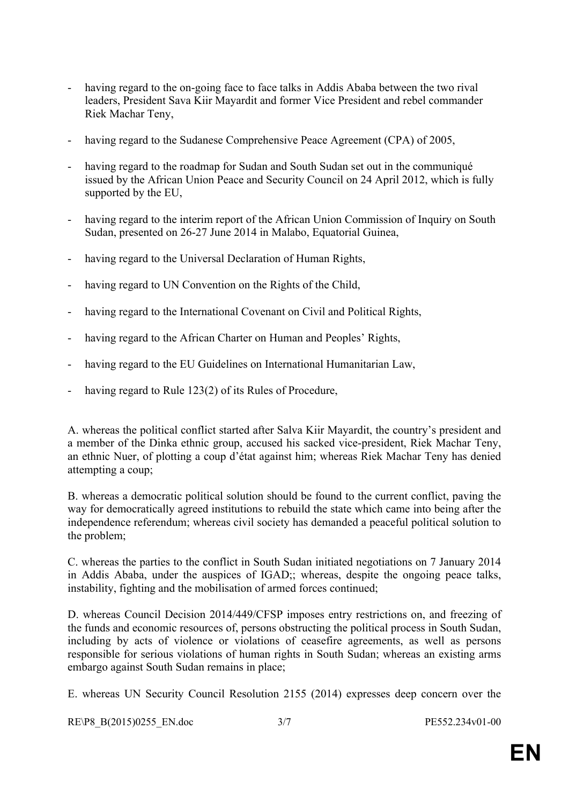- having regard to the on-going face to face talks in Addis Ababa between the two rival leaders, President Sava Kiir Mayardit and former Vice President and rebel commander Riek Machar Teny,
- having regard to the Sudanese Comprehensive Peace Agreement (CPA) of 2005,
- having regard to the roadmap for Sudan and South Sudan set out in the communiqué issued by the African Union Peace and Security Council on 24 April 2012, which is fully supported by the EU,
- having regard to the interim report of the African Union Commission of Inquiry on South Sudan, presented on 26-27 June 2014 in Malabo, Equatorial Guinea,
- having regard to the Universal Declaration of Human Rights,
- having regard to UN Convention on the Rights of the Child,
- having regard to the International Covenant on Civil and Political Rights,
- having regard to the African Charter on Human and Peoples' Rights,
- having regard to the EU Guidelines on International Humanitarian Law,
- having regard to Rule 123(2) of its Rules of Procedure,

A. whereas the political conflict started after Salva Kiir Mayardit, the country's president and a member of the Dinka ethnic group, accused his sacked vice-president, Riek Machar Teny, an ethnic Nuer, of plotting a coup d'état against him; whereas Riek Machar Teny has denied attempting a coup;

B. whereas a democratic political solution should be found to the current conflict, paving the way for democratically agreed institutions to rebuild the state which came into being after the independence referendum; whereas civil society has demanded a peaceful political solution to the problem;

C. whereas the parties to the conflict in South Sudan initiated negotiations on 7 January 2014 in Addis Ababa, under the auspices of IGAD;; whereas, despite the ongoing peace talks, instability, fighting and the mobilisation of armed forces continued;

D. whereas Council Decision 2014/449/CFSP imposes entry restrictions on, and freezing of the funds and economic resources of, persons obstructing the political process in South Sudan, including by acts of violence or violations of ceasefire agreements, as well as persons responsible for serious violations of human rights in South Sudan; whereas an existing arms embargo against South Sudan remains in place;

E. whereas UN Security Council Resolution 2155 (2014) expresses deep concern over the

[RE\P8\\_B\(2015\)0255\\_EN.doc](#page-0-1) 3/7 [PE552.234v01-00](#page-0-0)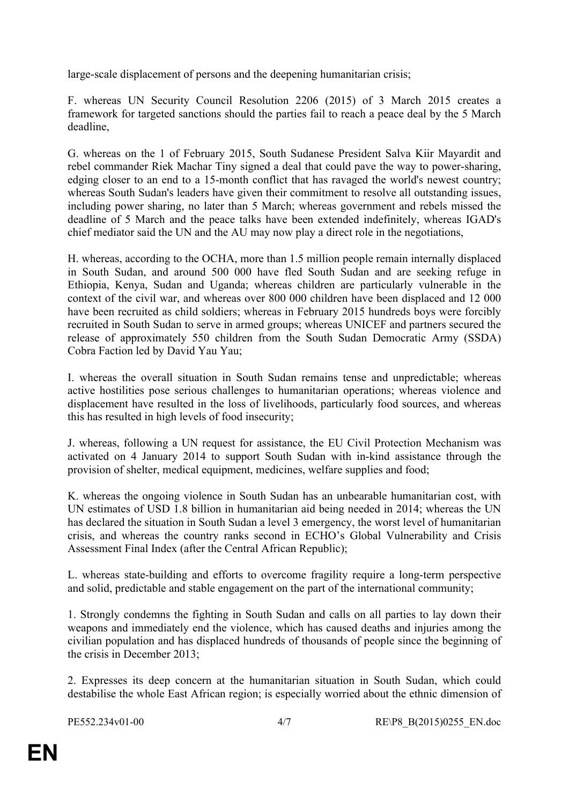large-scale displacement of persons and the deepening humanitarian crisis;

F. whereas UN Security Council Resolution 2206 (2015) of 3 March 2015 creates a framework for targeted sanctions should the parties fail to reach a peace deal by the 5 March deadline,

G. whereas on the 1 of February 2015, South Sudanese President Salva Kiir Mayardit and rebel commander Riek Machar Tiny signed a deal that could pave the way to power-sharing, edging closer to an end to a 15-month conflict that has ravaged the world's newest country; whereas South Sudan's leaders have given their commitment to resolve all outstanding issues, including power sharing, no later than 5 March; whereas government and rebels missed the deadline of 5 March and the peace talks have been extended indefinitely, whereas IGAD's chief mediator said the UN and the AU may now play a direct role in the negotiations,

H. whereas, according to the OCHA, more than 1.5 million people remain internally displaced in South Sudan, and around 500 000 have fled South Sudan and are seeking refuge in Ethiopia, Kenya, Sudan and Uganda; whereas children are particularly vulnerable in the context of the civil war, and whereas over 800 000 children have been displaced and 12 000 have been recruited as child soldiers; whereas in February 2015 hundreds boys were forcibly recruited in South Sudan to serve in armed groups; whereas UNICEF and partners secured the release of approximately 550 children from the South Sudan Democratic Army (SSDA) Cobra Faction led by David Yau Yau;

I. whereas the overall situation in South Sudan remains tense and unpredictable; whereas active hostilities pose serious challenges to humanitarian operations; whereas violence and displacement have resulted in the loss of livelihoods, particularly food sources, and whereas this has resulted in high levels of food insecurity;

J. whereas, following a UN request for assistance, the EU Civil Protection Mechanism was activated on 4 January 2014 to support South Sudan with in-kind assistance through the provision of shelter, medical equipment, medicines, welfare supplies and food;

K. whereas the ongoing violence in South Sudan has an unbearable humanitarian cost, with UN estimates of USD 1.8 billion in humanitarian aid being needed in 2014; whereas the UN has declared the situation in South Sudan a level 3 emergency, the worst level of humanitarian crisis, and whereas the country ranks second in ECHO's Global Vulnerability and Crisis Assessment Final Index (after the Central African Republic);

L. whereas state-building and efforts to overcome fragility require a long-term perspective and solid, predictable and stable engagement on the part of the international community;

1. Strongly condemns the fighting in South Sudan and calls on all parties to lay down their weapons and immediately end the violence, which has caused deaths and injuries among the civilian population and has displaced hundreds of thousands of people since the beginning of the crisis in December 2013;

2. Expresses its deep concern at the humanitarian situation in South Sudan, which could destabilise the whole East African region; is especially worried about the ethnic dimension of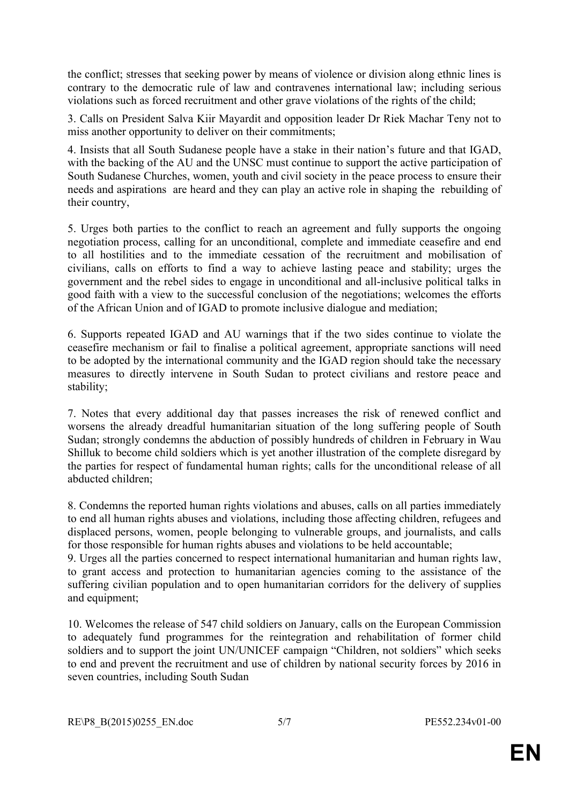the conflict; stresses that seeking power by means of violence or division along ethnic lines is contrary to the democratic rule of law and contravenes international law; including serious violations such as forced recruitment and other grave violations of the rights of the child;

3. Calls on President Salva Kiir Mayardit and opposition leader Dr Riek Machar Teny not to miss another opportunity to deliver on their commitments;

4. Insists that all South Sudanese people have a stake in their nation's future and that IGAD, with the backing of the AU and the UNSC must continue to support the active participation of South Sudanese Churches, women, youth and civil society in the peace process to ensure their needs and aspirations are heard and they can play an active role in shaping the rebuilding of their country,

5. Urges both parties to the conflict to reach an agreement and fully supports the ongoing negotiation process, calling for an unconditional, complete and immediate ceasefire and end to all hostilities and to the immediate cessation of the recruitment and mobilisation of civilians, calls on efforts to find a way to achieve lasting peace and stability; urges the government and the rebel sides to engage in unconditional and all-inclusive political talks in good faith with a view to the successful conclusion of the negotiations; welcomes the efforts of the African Union and of IGAD to promote inclusive dialogue and mediation;

6. Supports repeated IGAD and AU warnings that if the two sides continue to violate the ceasefire mechanism or fail to finalise a political agreement, appropriate sanctions will need to be adopted by the international community and the IGAD region should take the necessary measures to directly intervene in South Sudan to protect civilians and restore peace and stability;

7. Notes that every additional day that passes increases the risk of renewed conflict and worsens the already dreadful humanitarian situation of the long suffering people of South Sudan; strongly condemns the abduction of possibly hundreds of children in February in Wau Shilluk to become child soldiers which is yet another illustration of the complete disregard by the parties for respect of fundamental human rights; calls for the unconditional release of all abducted children;

8. Condemns the reported human rights violations and abuses, calls on all parties immediately to end all human rights abuses and violations, including those affecting children, refugees and displaced persons, women, people belonging to vulnerable groups, and journalists, and calls for those responsible for human rights abuses and violations to be held accountable;

9. Urges all the parties concerned to respect international humanitarian and human rights law, to grant access and protection to humanitarian agencies coming to the assistance of the suffering civilian population and to open humanitarian corridors for the delivery of supplies and equipment;

10. Welcomes the release of 547 child soldiers on January, calls on the European Commission to adequately fund programmes for the reintegration and rehabilitation of former child soldiers and to support the joint UN/UNICEF campaign "Children, not soldiers" which seeks to end and prevent the recruitment and use of children by national security forces by 2016 in seven countries, including South Sudan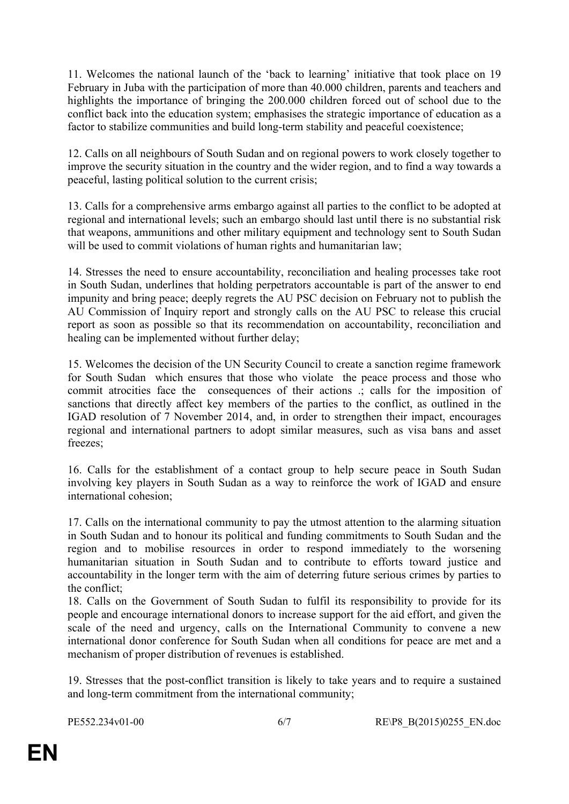11. Welcomes the national launch of the 'back to learning' initiative that took place on 19 February in Juba with the participation of more than 40.000 children, parents and teachers and highlights the importance of bringing the 200.000 children forced out of school due to the conflict back into the education system; emphasises the strategic importance of education as a factor to stabilize communities and build long-term stability and peaceful coexistence;

12. Calls on all neighbours of South Sudan and on regional powers to work closely together to improve the security situation in the country and the wider region, and to find a way towards a peaceful, lasting political solution to the current crisis;

13. Calls for a comprehensive arms embargo against all parties to the conflict to be adopted at regional and international levels; such an embargo should last until there is no substantial risk that weapons, ammunitions and other military equipment and technology sent to South Sudan will be used to commit violations of human rights and humanitarian law;

14. Stresses the need to ensure accountability, reconciliation and healing processes take root in South Sudan, underlines that holding perpetrators accountable is part of the answer to end impunity and bring peace; deeply regrets the AU PSC decision on February not to publish the AU Commission of Inquiry report and strongly calls on the AU PSC to release this crucial report as soon as possible so that its recommendation on accountability, reconciliation and healing can be implemented without further delay;

15. Welcomes the decision of the UN Security Council to create a sanction regime framework for South Sudan which ensures that those who violate the peace process and those who commit atrocities face the consequences of their actions .; calls for the imposition of sanctions that directly affect key members of the parties to the conflict, as outlined in the IGAD resolution of 7 November 2014, and, in order to strengthen their impact, encourages regional and international partners to adopt similar measures, such as visa bans and asset freezes;

16. Calls for the establishment of a contact group to help secure peace in South Sudan involving key players in South Sudan as a way to reinforce the work of IGAD and ensure international cohesion;

17. Calls on the international community to pay the utmost attention to the alarming situation in South Sudan and to honour its political and funding commitments to South Sudan and the region and to mobilise resources in order to respond immediately to the worsening humanitarian situation in South Sudan and to contribute to efforts toward justice and accountability in the longer term with the aim of deterring future serious crimes by parties to the conflict;

18. Calls on the Government of South Sudan to fulfil its responsibility to provide for its people and encourage international donors to increase support for the aid effort, and given the scale of the need and urgency, calls on the International Community to convene a new international donor conference for South Sudan when all conditions for peace are met and a mechanism of proper distribution of revenues is established.

19. Stresses that the post-conflict transition is likely to take years and to require a sustained and long-term commitment from the international community;